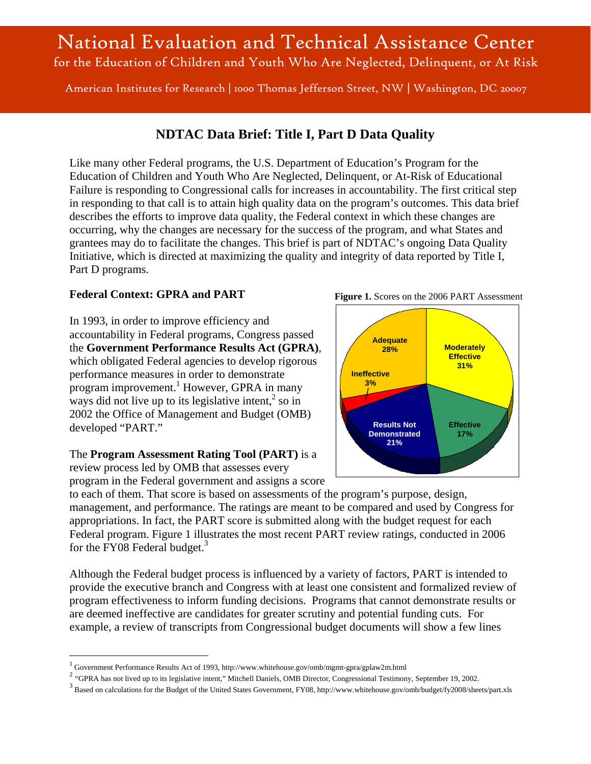# National Evaluation and Technical Assistance Center for the Education of Children and Youth Who Are Neglected, Delinquent, or At Risk

American Institutes for Research | 1000 Thomas Jefferson Street, NW | Washington, DC 20007

# **NDTAC Data Brief: Title I, Part D Data Quality**

Like many other Federal programs, the U.S. Department of Education's Program for the Education of Children and Youth Who Are Neglected, Delinquent, or At-Risk of Educational Failure is responding to Congressional calls for increases in accountability. The first critical step in responding to that call is to attain high quality data on the program's outcomes. This data brief describes the efforts to improve data quality, the Federal context in which these changes are occurring, why the changes are necessary for the success of the program, and what States and grantees may do to facilitate the changes. This brief is part of NDTAC's ongoing Data Quality Initiative, which is directed at maximizing the quality and integrity of data reported by Title I, Part D programs.

#### **Federal Context: GPRA and PART**

In 1993, in order to improve efficiency and accountability in Federal programs, Congress passed the **Government Performance Results Act (GPRA)**, which obligated Federal agencies to develop rigorous performance measures in order to demonstrate program improvement.<sup>1</sup> However, GPRA in many ways did not live up to its legislative intent, $\frac{2}{3}$  so in 2002 the Office of Management and Budget (OMB) developed "PART."

#### The **Program Assessment Rating Tool (PART)** is a

review process led by OMB that assesses every program in the Federal government and assigns a score

 $\overline{a}$ 

to each of them. That score is based on assessments of the program's purpose, design, management, and performance. The ratings are meant to be compared and used by Congress for appropriations. In fact, the PART score is submitted along with the budget request for each Federal program. Figure 1 illustrates the most recent PART review ratings, conducted in 2006 for the FY08 Federal budget. $3$ 

Although the Federal budget process is influenced by a variety of factors, PART is intended to provide the executive branch and Congress with at least one consistent and formalized review of program effectiveness to inform funding decisions. Programs that cannot demonstrate results or are deemed ineffective are candidates for greater scrutiny and potential funding cuts. For example, a review of transcripts from Congressional budget documents will show a few lines





<sup>&</sup>lt;sup>1</sup> Government Performance Results Act of 1993, http://www.whitehouse.gov/omb/mgmt-gpra/gplaw2m.html

<sup>&</sup>lt;sup>2</sup> "GPRA has not lived up to its legislative intent," Mitchell Daniels, OMB Director, Congressional Testimony, September 19, 2002.

<sup>&</sup>lt;sup>3</sup> Based on calculations for the Budget of the United States Government, FY08, http://www.whitehouse.gov/omb/budget/fy2008/sheets/part.xls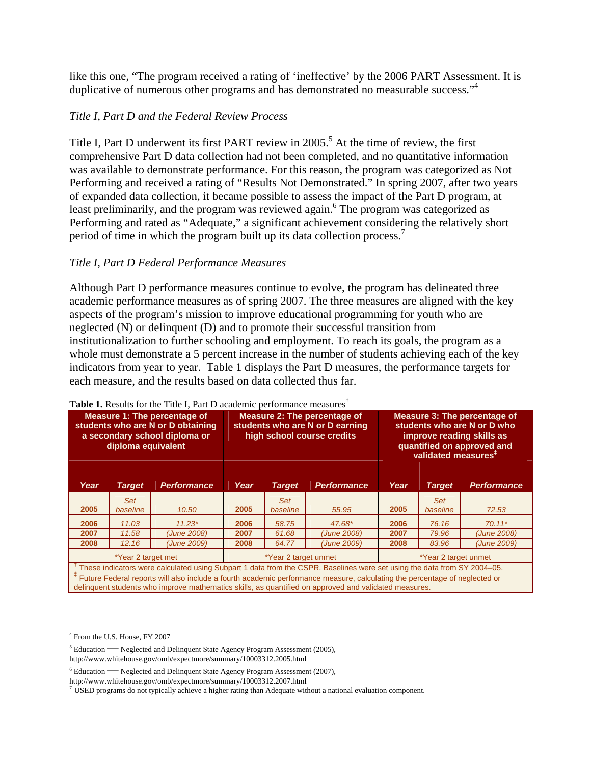like this one, "The program received a rating of 'ineffective' by the 2006 PART Assessment. It is duplicative of numerous other programs and has demonstrated no measurable success."<sup>4</sup>

#### *Title I, Part D and the Federal Review Process*

Title I, Part D underwent its first PART review in  $2005$ <sup>5</sup>. At the time of review, the first comprehensive Part D data collection had not been completed, and no quantitative information was available to demonstrate performance. For this reason, the program was categorized as Not Performing and received a rating of "Results Not Demonstrated." In spring 2007, after two years of expanded data collection, it became possible to assess the impact of the Part D program, at least preliminarily, and the program was reviewed again.<sup>6</sup> The program was categorized as Performing and rated as "Adequate," a significant achievement considering the relatively short period of time in which the program built up its data collection process.<sup>7</sup>

#### *Title I, Part D Federal Performance Measures*

Although Part D performance measures continue to evolve, the program has delineated three academic performance measures as of spring 2007. The three measures are aligned with the key aspects of the program's mission to improve educational programming for youth who are neglected (N) or delinquent (D) and to promote their successful transition from institutionalization to further schooling and employment. To reach its goals, the program as a whole must demonstrate a 5 percent increase in the number of students achieving each of the key indicators from year to year. Table 1 displays the Part D measures, the performance targets for each measure, and the results based on data collected thus far.

|                                                                                                                                                                                                                                                                                                                                                                             | diploma equivalent     | Measure 1: The percentage of<br>students who are N or D obtaining<br>a secondary school diploma or | <b>Table 1.</b> Nesults for the Thie I, Fart D academic performance ineasures<br>Measure 2: The percentage of<br>students who are N or D earning<br>high school course credits |                        |                    | <b>Measure 3: The percentage of</b><br>students who are N or D who<br>improve reading skills as<br>quantified on approved and |                                 |                    |
|-----------------------------------------------------------------------------------------------------------------------------------------------------------------------------------------------------------------------------------------------------------------------------------------------------------------------------------------------------------------------------|------------------------|----------------------------------------------------------------------------------------------------|--------------------------------------------------------------------------------------------------------------------------------------------------------------------------------|------------------------|--------------------|-------------------------------------------------------------------------------------------------------------------------------|---------------------------------|--------------------|
|                                                                                                                                                                                                                                                                                                                                                                             |                        |                                                                                                    |                                                                                                                                                                                |                        |                    |                                                                                                                               | validated measures <sup>#</sup> |                    |
| Year                                                                                                                                                                                                                                                                                                                                                                        | <b>Target</b>          | <b>Performance</b>                                                                                 | Year                                                                                                                                                                           | <b>Target</b>          | <b>Performance</b> | Year                                                                                                                          | <b>Target</b>                   | <b>Performance</b> |
| 2005                                                                                                                                                                                                                                                                                                                                                                        | <b>Set</b><br>baseline | 10.50                                                                                              | 2005                                                                                                                                                                           | <b>Set</b><br>baseline | 55.95              | 2005                                                                                                                          | <b>Set</b><br>baseline          | 72.53              |
| 2006                                                                                                                                                                                                                                                                                                                                                                        | 11.03                  | $11.23*$                                                                                           | 2006                                                                                                                                                                           | 58.75                  | 47.68*             | 2006                                                                                                                          | 76.16                           | $70.11*$           |
| 2007                                                                                                                                                                                                                                                                                                                                                                        | 11.58                  | (June 2008)                                                                                        | 2007                                                                                                                                                                           | 61.68                  | (June 2008)        | 2007                                                                                                                          | 79.96                           | (June 2008)        |
| 2008                                                                                                                                                                                                                                                                                                                                                                        | 12.16                  | (June 2009)                                                                                        | 2008                                                                                                                                                                           | 64.77                  | (June 2009)        | 2008                                                                                                                          | 83.96                           | (June 2009)        |
|                                                                                                                                                                                                                                                                                                                                                                             | *Year 2 target met     |                                                                                                    | *Year 2 target unmet                                                                                                                                                           |                        |                    | *Year 2 target unmet                                                                                                          |                                 |                    |
| These indicators were calculated using Subpart 1 data from the CSPR. Baselines were set using the data from SY 2004-05.<br><sup>‡</sup> Future Federal reports will also include a fourth academic performance measure, calculating the percentage of neglected or<br>delinguent students who improve mathematics skills, as quantified on approved and validated measures. |                        |                                                                                                    |                                                                                                                                                                                |                        |                    |                                                                                                                               |                                 |                    |

#### **Table 1.** Results for the Title I, Part D academic performance measures†

 $\overline{a}$ 

<sup>4</sup> From the U.S. House, FY 2007

 $5$  Education  $\rightarrow$  Neglected and Delinquent State Agency Program Assessment (2005),

http://www.whitehouse.gov/omb/expectmore/summary/10003312.2005.html

 $6$  Education  $-$ - Neglected and Delinquent State Agency Program Assessment (2007),

http://www.whitehouse.gov/omb/expectmore/summary/10003312.2007.html<br><sup>7</sup> USED programs do not typically achieve a higher rating than Adequate without a national evaluation component.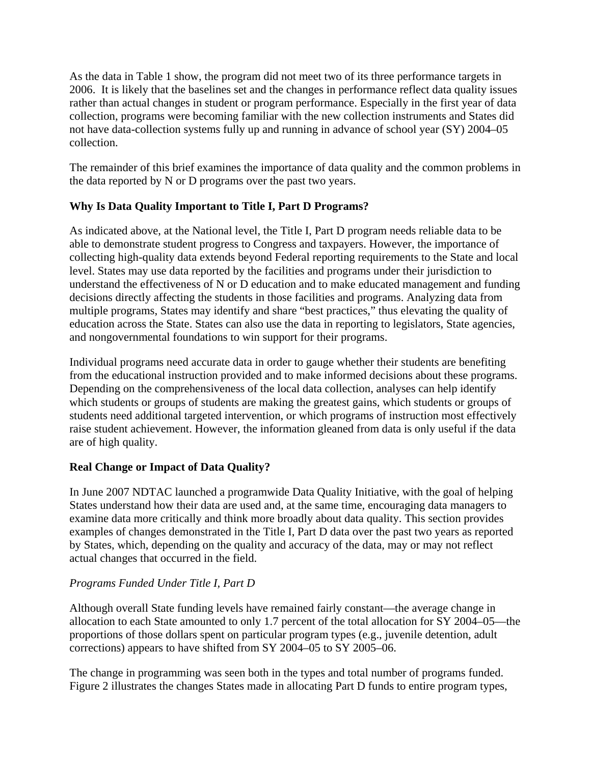As the data in Table 1 show, the program did not meet two of its three performance targets in 2006. It is likely that the baselines set and the changes in performance reflect data quality issues rather than actual changes in student or program performance. Especially in the first year of data collection, programs were becoming familiar with the new collection instruments and States did not have data-collection systems fully up and running in advance of school year (SY) 2004–05 collection.

The remainder of this brief examines the importance of data quality and the common problems in the data reported by N or D programs over the past two years.

### **Why Is Data Quality Important to Title I, Part D Programs?**

As indicated above, at the National level, the Title I, Part D program needs reliable data to be able to demonstrate student progress to Congress and taxpayers. However, the importance of collecting high-quality data extends beyond Federal reporting requirements to the State and local level. States may use data reported by the facilities and programs under their jurisdiction to understand the effectiveness of N or D education and to make educated management and funding decisions directly affecting the students in those facilities and programs. Analyzing data from multiple programs, States may identify and share "best practices," thus elevating the quality of education across the State. States can also use the data in reporting to legislators, State agencies, and nongovernmental foundations to win support for their programs.

Individual programs need accurate data in order to gauge whether their students are benefiting from the educational instruction provided and to make informed decisions about these programs. Depending on the comprehensiveness of the local data collection, analyses can help identify which students or groups of students are making the greatest gains, which students or groups of students need additional targeted intervention, or which programs of instruction most effectively raise student achievement. However, the information gleaned from data is only useful if the data are of high quality.

# **Real Change or Impact of Data Quality?**

In June 2007 NDTAC launched a programwide Data Quality Initiative, with the goal of helping States understand how their data are used and, at the same time, encouraging data managers to examine data more critically and think more broadly about data quality. This section provides examples of changes demonstrated in the Title I, Part D data over the past two years as reported by States, which, depending on the quality and accuracy of the data, may or may not reflect actual changes that occurred in the field.

# *Programs Funded Under Title I, Part D*

Although overall State funding levels have remained fairly constant—the average change in allocation to each State amounted to only 1.7 percent of the total allocation for SY 2004–05—the proportions of those dollars spent on particular program types (e.g., juvenile detention, adult corrections) appears to have shifted from SY 2004–05 to SY 2005–06.

The change in programming was seen both in the types and total number of programs funded. Figure 2 illustrates the changes States made in allocating Part D funds to entire program types,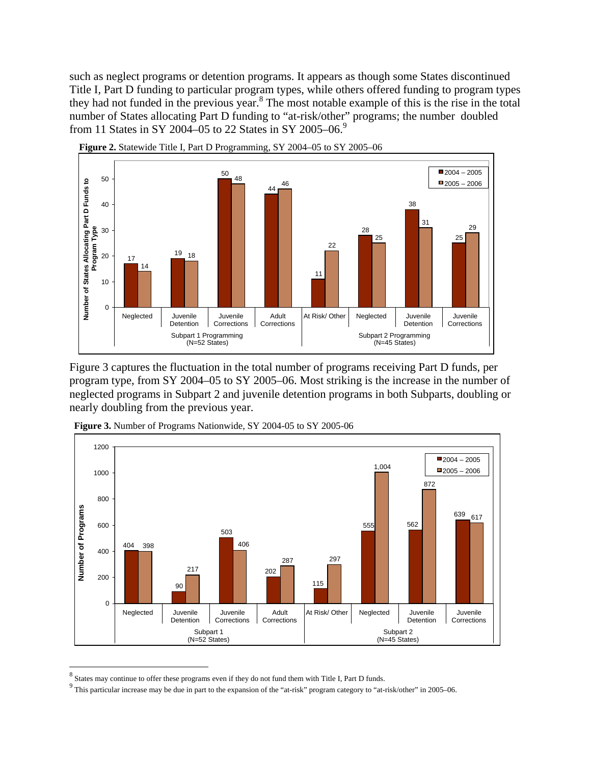such as neglect programs or detention programs. It appears as though some States discontinued Title I, Part D funding to particular program types, while others offered funding to program types they had not funded in the previous year.<sup>8</sup> The most notable example of this is the rise in the total number of States allocating Part D funding to "at-risk/other" programs; the number doubled from 11 States in SY 2004–05 to 22 States in SY 2005–06.<sup>9</sup>





Figure 3 captures the fluctuation in the total number of programs receiving Part D funds, per program type, from SY 2004–05 to SY 2005–06. Most striking is the increase in the number of neglected programs in Subpart 2 and juvenile detention programs in both Subparts, doubling or nearly doubling from the previous year.



**Figure 3.** Number of Programs Nationwide, SY 2004-05 to SY 2005-06

 $\overline{a}$ 

 $8$  States may continue to offer these programs even if they do not fund them with Title I, Part D funds.

 $9$  This particular increase may be due in part to the expansion of the "at-risk" program category to "at-risk/other" in 2005–06.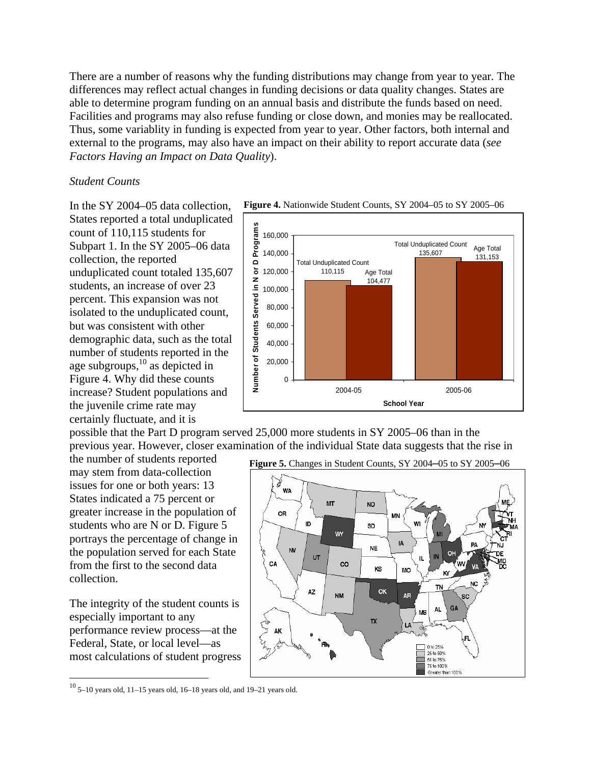There are a number of reasons why the funding distributions may change from year to year. The differences may reflect actual changes in funding decisions or data quality changes. States are able to determine program funding on an annual basis and distribute the funds based on need. Facilities and programs may also refuse funding or close down, and monies may be reallocated. Thus, some variablity in funding is expected from year to year. Other factors, both internal and external to the programs, may also have an impact on their ability to report accurate data (*see Factors Having an Impact on Data Quality*).

#### *Student Counts*

In the SY 2004–05 data collection, States reported a total unduplicated count of 110,115 students for Subpart 1. In the SY 2005–06 data collection, the reported unduplicated count totaled 135,607 students, an increase of over 23 percent. This expansion was not isolated to the unduplicated count, but was consistent with other demographic data, such as the total number of students reported in the age subgroups, $^{10}$  as depicted in Figure 4. Why did these counts increase? Student populations and the juvenile crime rate may certainly fluctuate, and it is

**Figure 4.** Nationwide Student Counts, SY 2004–05 to SY 2005–06



possible that the Part D program served 25,000 more students in SY 2005–06 than in the previous year. However, closer examination of the individual State data suggests that the rise in

the number of students reported may stem from data-collection issues for one or both years: 13 States indicated a 75 percent or greater increase in the population of students who are N or D. Figure 5 portrays the percentage of change in the population served for each State from the first to the second data collection.

The integrity of the student counts is especially important to any performance review process—at the Federal, State, or local level—as most calculations of student progress

<u>.</u>



 $10$  5–10 years old, 11–15 years old, 16–18 years old, and 19–21 years old.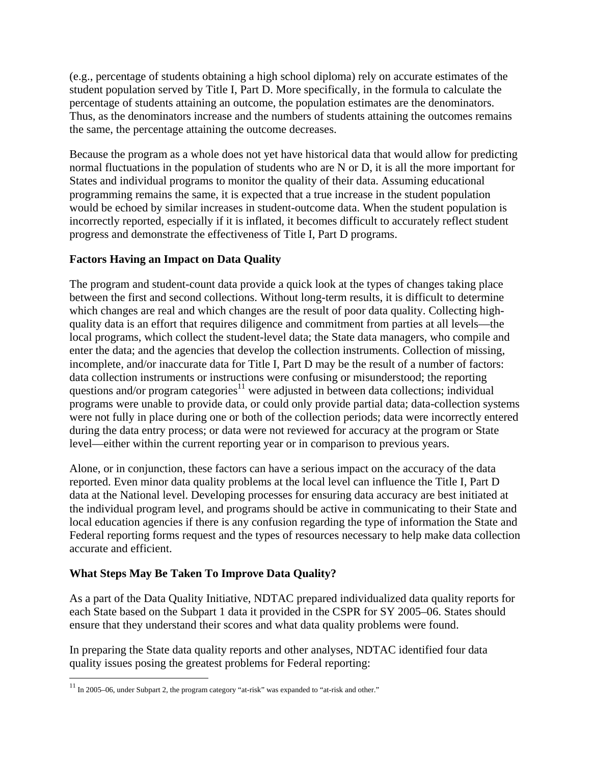(e.g., percentage of students obtaining a high school diploma) rely on accurate estimates of the student population served by Title I, Part D. More specifically, in the formula to calculate the percentage of students attaining an outcome, the population estimates are the denominators. Thus, as the denominators increase and the numbers of students attaining the outcomes remains the same, the percentage attaining the outcome decreases.

Because the program as a whole does not yet have historical data that would allow for predicting normal fluctuations in the population of students who are N or D, it is all the more important for States and individual programs to monitor the quality of their data. Assuming educational programming remains the same, it is expected that a true increase in the student population would be echoed by similar increases in student-outcome data. When the student population is incorrectly reported, especially if it is inflated, it becomes difficult to accurately reflect student progress and demonstrate the effectiveness of Title I, Part D programs.

### **Factors Having an Impact on Data Quality**

The program and student-count data provide a quick look at the types of changes taking place between the first and second collections. Without long-term results, it is difficult to determine which changes are real and which changes are the result of poor data quality. Collecting highquality data is an effort that requires diligence and commitment from parties at all levels—the local programs, which collect the student-level data; the State data managers, who compile and enter the data; and the agencies that develop the collection instruments. Collection of missing, incomplete, and/or inaccurate data for Title I, Part D may be the result of a number of factors: data collection instruments or instructions were confusing or misunderstood; the reporting questions and/or program categories $11$  were adjusted in between data collections; individual programs were unable to provide data, or could only provide partial data; data-collection systems were not fully in place during one or both of the collection periods; data were incorrectly entered during the data entry process; or data were not reviewed for accuracy at the program or State level—either within the current reporting year or in comparison to previous years.

Alone, or in conjunction, these factors can have a serious impact on the accuracy of the data reported. Even minor data quality problems at the local level can influence the Title I, Part D data at the National level. Developing processes for ensuring data accuracy are best initiated at the individual program level, and programs should be active in communicating to their State and local education agencies if there is any confusion regarding the type of information the State and Federal reporting forms request and the types of resources necessary to help make data collection accurate and efficient.

# **What Steps May Be Taken To Improve Data Quality?**

 $\overline{a}$ 

As a part of the Data Quality Initiative, NDTAC prepared individualized data quality reports for each State based on the Subpart 1 data it provided in the CSPR for SY 2005–06. States should ensure that they understand their scores and what data quality problems were found.

In preparing the State data quality reports and other analyses, NDTAC identified four data quality issues posing the greatest problems for Federal reporting:

 $11$  In 2005–06, under Subpart 2, the program category "at-risk" was expanded to "at-risk and other."